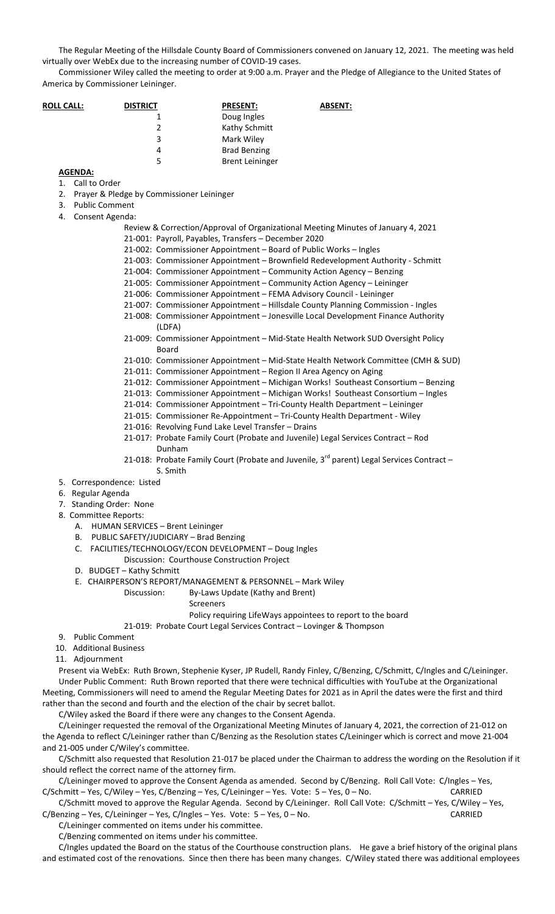The Regular Meeting of the Hillsdale County Board of Commissioners convened on January 12, 2021. The meeting was held virtually over WebEx due to the increasing number of COVID-19 cases.

Commissioner Wiley called the meeting to order at 9:00 a.m. Prayer and the Pledge of Allegiance to the United States of America by Commissioner Leininger.

| <b>ROLL CALL:</b> | <b>DISTRICT</b> | <b>PRESENT:</b>        | <b>ABSENT:</b> |
|-------------------|-----------------|------------------------|----------------|
|                   |                 | Doug Ingles            |                |
|                   | 2               | Kathy Schmitt          |                |
|                   | 3               | Mark Wiley             |                |
|                   | 4               | <b>Brad Benzing</b>    |                |
|                   | 5               | <b>Brent Leininger</b> |                |
|                   |                 |                        |                |

**AGENDA:**

1. Call to Order

- 2. Prayer & Pledge by Commissioner Leininger
- 3. Public Comment
- 4. Consent Agenda:
	- Review & Correction/Approval of Organizational Meeting Minutes of January 4, 2021 21-001: Payroll, Payables, Transfers – December 2020
	- 21-002: Commissioner Appointment Board of Public Works Ingles
	- 21-003: Commissioner Appointment Brownfield Redevelopment Authority Schmitt
	- 21-004: Commissioner Appointment Community Action Agency Benzing
	- 21-005: Commissioner Appointment Community Action Agency Leininger
	- 21-006: Commissioner Appointment FEMA Advisory Council Leininger
	- 21-007: Commissioner Appointment Hillsdale County Planning Commission Ingles
	- 21-008: Commissioner Appointment Jonesville Local Development Finance Authority  $(1$ DFA $)$
	- 21-009: Commissioner Appointment Mid-State Health Network SUD Oversight Policy Board
	- 21-010: Commissioner Appointment Mid-State Health Network Committee (CMH & SUD)
	- 21-011: Commissioner Appointment Region II Area Agency on Aging
	- 21-012: Commissioner Appointment Michigan Works! Southeast Consortium Benzing
	- 21-013: Commissioner Appointment Michigan Works! Southeast Consortium Ingles
	- 21-014: Commissioner Appointment Tri-County Health Department Leininger
	- 21-015: Commissioner Re-Appointment Tri-County Health Department Wiley
	- 21-016: Revolving Fund Lake Level Transfer Drains
	- 21-017: Probate Family Court (Probate and Juvenile) Legal Services Contract Rod Dunham
	- 21-018: Probate Family Court (Probate and Juvenile,  $3^{rd}$  parent) Legal Services Contract S. Smith
- 5. Correspondence: Listed
- 6. Regular Agenda
- 7. Standing Order: None
- 8. Committee Reports:
	- A. HUMAN SERVICES Brent Leininger
	- B. PUBLIC SAFETY/JUDICIARY Brad Benzing
	- C. FACILITIES/TECHNOLOGY/ECON DEVELOPMENT Doug Ingles Discussion: Courthouse Construction Project
	- D. BUDGET Kathy Schmitt
	- E. CHAIRPERSON'S REPORT/MANAGEMENT & PERSONNEL Mark Wiley
		- Discussion: By-Laws Update (Kathy and Brent)
			- Screeners
			- Policy requiring LifeWays appointees to report to the board

21-019: Probate Court Legal Services Contract – Lovinger & Thompson

- 9. Public Comment
- 10. Additional Business
- 11. Adjournment

Present via WebEx: Ruth Brown, Stephenie Kyser, JP Rudell, Randy Finley, C/Benzing, C/Schmitt, C/Ingles and C/Leininger. Under Public Comment: Ruth Brown reported that there were technical difficulties with YouTube at the Organizational Meeting, Commissioners will need to amend the Regular Meeting Dates for 2021 as in April the dates were the first and third rather than the second and fourth and the election of the chair by secret ballot.

C/Wiley asked the Board if there were any changes to the Consent Agenda.

C/Leininger requested the removal of the Organizational Meeting Minutes of January 4, 2021, the correction of 21-012 on the Agenda to reflect C/Leininger rather than C/Benzing as the Resolution states C/Leininger which is correct and move 21-004 and 21-005 under C/Wiley's committee.

C/Schmitt also requested that Resolution 21-017 be placed under the Chairman to address the wording on the Resolution if it should reflect the correct name of the attorney firm.

C/Leininger moved to approve the Consent Agenda as amended. Second by C/Benzing. Roll Call Vote: C/Ingles – Yes, C/Schmitt – Yes, C/Wiley – Yes, C/Benzing – Yes, C/Leininger – Yes. Vote: 5 – Yes, 0 – No. CARRIED

C/Schmitt moved to approve the Regular Agenda. Second by C/Leininger. Roll Call Vote: C/Schmitt – Yes, C/Wiley – Yes, C/Benzing – Yes, C/Leininger – Yes, C/Ingles – Yes. Vote: 5 – Yes, 0 – No. CARRIED

C/Leininger commented on items under his committee.

C/Benzing commented on items under his committee.

C/Ingles updated the Board on the status of the Courthouse construction plans. He gave a brief history of the original plans and estimated cost of the renovations. Since then there has been many changes. C/Wiley stated there was additional employees